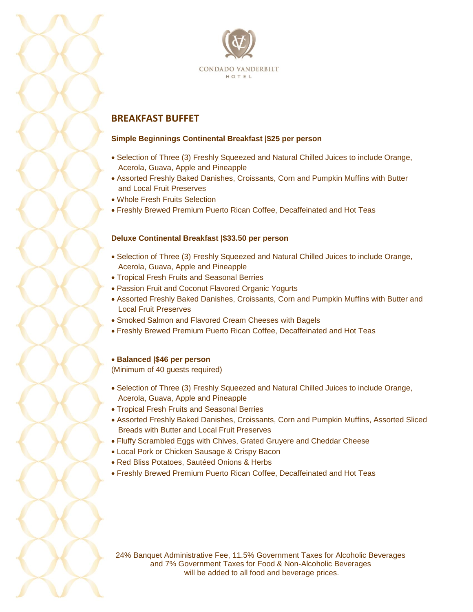

# **BREAKFAST BUFFET**

#### **Simple Beginnings Continental Breakfast |\$25 per person**

- Selection of Three (3) Freshly Squeezed and Natural Chilled Juices to include Orange, Acerola, Guava, Apple and Pineapple
- Assorted Freshly Baked Danishes, Croissants, Corn and Pumpkin Muffins with Butter and Local Fruit Preserves
- Whole Fresh Fruits Selection
- Freshly Brewed Premium Puerto Rican Coffee, Decaffeinated and Hot Teas

#### **Deluxe Continental Breakfast |\$33.50 per person**

- Selection of Three (3) Freshly Squeezed and Natural Chilled Juices to include Orange, Acerola, Guava, Apple and Pineapple
- Tropical Fresh Fruits and Seasonal Berries
- Passion Fruit and Coconut Flavored Organic Yogurts
- Assorted Freshly Baked Danishes, Croissants, Corn and Pumpkin Muffins with Butter and Local Fruit Preserves
- Smoked Salmon and Flavored Cream Cheeses with Bagels
- Freshly Brewed Premium Puerto Rican Coffee, Decaffeinated and Hot Teas

#### **Balanced |\$46 per person**

(Minimum of 40 guests required)

- Selection of Three (3) Freshly Squeezed and Natural Chilled Juices to include Orange, Acerola, Guava, Apple and Pineapple
- Tropical Fresh Fruits and Seasonal Berries
- Assorted Freshly Baked Danishes, Croissants, Corn and Pumpkin Muffins, Assorted Sliced Breads with Butter and Local Fruit Preserves
- Fluffy Scrambled Eggs with Chives, Grated Gruyere and Cheddar Cheese
- Local Pork or Chicken Sausage & Crispy Bacon
- Red Bliss Potatoes, Sautéed Onions & Herbs
- Freshly Brewed Premium Puerto Rican Coffee, Decaffeinated and Hot Teas

24% Banquet Administrative Fee, 11.5% Government Taxes for Alcoholic Beverages and 7% Government Taxes for Food & Non-Alcoholic Beverages will be added to all food and beverage prices.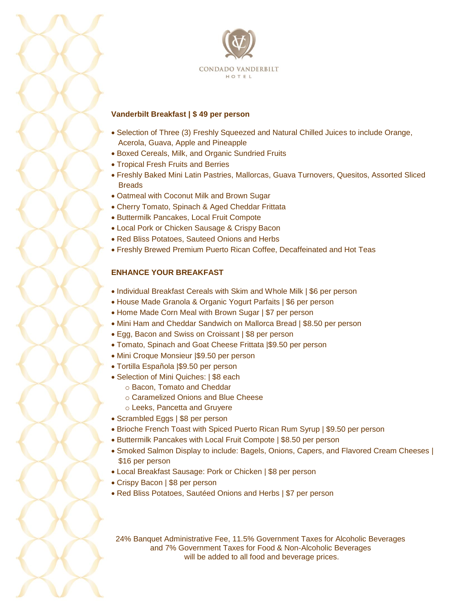

#### **Vanderbilt Breakfast | \$ 49 per person**

- Selection of Three (3) Freshly Squeezed and Natural Chilled Juices to include Orange, Acerola, Guava, Apple and Pineapple
- Boxed Cereals, Milk, and Organic Sundried Fruits
- Tropical Fresh Fruits and Berries
- Freshly Baked Mini Latin Pastries, Mallorcas, Guava Turnovers, Quesitos, Assorted Sliced **Breads**
- Oatmeal with Coconut Milk and Brown Sugar
- Cherry Tomato, Spinach & Aged Cheddar Frittata
- Buttermilk Pancakes, Local Fruit Compote
- Local Pork or Chicken Sausage & Crispy Bacon
- Red Bliss Potatoes, Sauteed Onions and Herbs
- Freshly Brewed Premium Puerto Rican Coffee, Decaffeinated and Hot Teas

#### **ENHANCE YOUR BREAKFAST**

- Individual Breakfast Cereals with Skim and Whole Milk | \$6 per person
- House Made Granola & Organic Yogurt Parfaits | \$6 per person
- Home Made Corn Meal with Brown Sugar | \$7 per person
- Mini Ham and Cheddar Sandwich on Mallorca Bread | \$8.50 per person
- Egg, Bacon and Swiss on Croissant | \$8 per person
- Tomato, Spinach and Goat Cheese Frittata |\$9.50 per person
- Mini Croque Monsieur |\$9.50 per person
- Tortilla Española |\$9.50 per person
- Selection of Mini Quiches: | \$8 each
	- o Bacon, Tomato and Cheddar
	- o Caramelized Onions and Blue Cheese
	- o Leeks, Pancetta and Gruyere
- Scrambled Eggs | \$8 per person
- Brioche French Toast with Spiced Puerto Rican Rum Syrup | \$9.50 per person
- Buttermilk Pancakes with Local Fruit Compote | \$8.50 per person
- Smoked Salmon Display to include: Bagels, Onions, Capers, and Flavored Cream Cheeses | \$16 per person
- Local Breakfast Sausage: Pork or Chicken | \$8 per person
- Crispy Bacon | \$8 per person
- Red Bliss Potatoes, Sautéed Onions and Herbs | \$7 per person

24% Banquet Administrative Fee, 11.5% Government Taxes for Alcoholic Beverages and 7% Government Taxes for Food & Non-Alcoholic Beverages will be added to all food and beverage prices.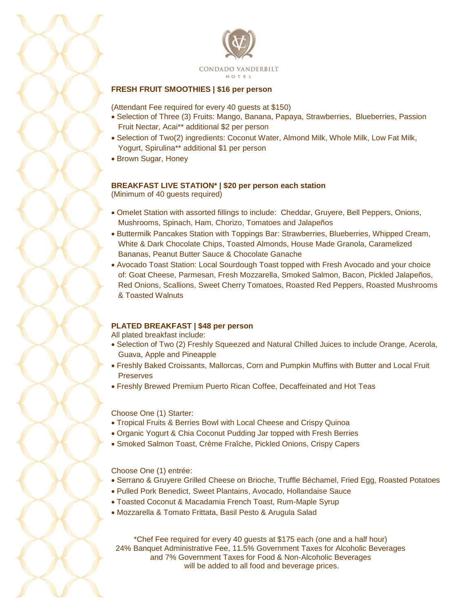

#### **FRESH FRUIT SMOOTHIES | \$16 per person**

(Attendant Fee required for every 40 guests at \$150)

- Selection of Three (3) Fruits: Mango, Banana, Papaya, Strawberries, Blueberries, Passion Fruit Nectar, Acai\*\* additional \$2 per person
- Selection of Two(2) ingredients: Coconut Water, Almond Milk, Whole Milk, Low Fat Milk, Yogurt, Spirulina\*\* additional \$1 per person
- Brown Sugar, Honey

#### **BREAKFAST LIVE STATION\* | \$20 per person each station**

(Minimum of 40 guests required)

- Omelet Station with assorted fillings to include: Cheddar, Gruyere, Bell Peppers, Onions, Mushrooms, Spinach, Ham, Chorizo, Tomatoes and Jalapeños
- Buttermilk Pancakes Station with Toppings Bar: Strawberries, Blueberries, Whipped Cream, White & Dark Chocolate Chips, Toasted Almonds, House Made Granola, Caramelized Bananas, Peanut Butter Sauce & Chocolate Ganache
- Avocado Toast Station: Local Sourdough Toast topped with Fresh Avocado and your choice of: Goat Cheese, Parmesan, Fresh Mozzarella, Smoked Salmon, Bacon, Pickled Jalapeños, Red Onions, Scallions, Sweet Cherry Tomatoes, Roasted Red Peppers, Roasted Mushrooms & Toasted Walnuts

### **PLATED BREAKFAST | \$48 per person**

All plated breakfast include:

- Selection of Two (2) Freshly Squeezed and Natural Chilled Juices to include Orange, Acerola, Guava, Apple and Pineapple
- Freshly Baked Croissants, Mallorcas, Corn and Pumpkin Muffins with Butter and Local Fruit **Preserves**
- Freshly Brewed Premium Puerto Rican Coffee, Decaffeinated and Hot Teas

Choose One (1) Starter:

- Tropical Fruits & Berries Bowl with Local Cheese and Crispy Quinoa
- Organic Yogurt & Chia Coconut Pudding Jar topped with Fresh Berries
- Smoked Salmon Toast, Crème Fraîche, Pickled Onions, Crispy Capers

Choose One (1) entrée:

- Serrano & Gruyere Grilled Cheese on Brioche, Truffle Béchamel, Fried Egg, Roasted Potatoes
- Pulled Pork Benedict, Sweet Plantains, Avocado, Hollandaise Sauce
- Toasted Coconut & Macadamia French Toast, Rum-Maple Syrup
- Mozzarella & Tomato Frittata, Basil Pesto & Arugula Salad

\*Chef Fee required for every 40 guests at \$175 each (one and a half hour) 24% Banquet Administrative Fee, 11.5% Government Taxes for Alcoholic Beverages and 7% Government Taxes for Food & Non-Alcoholic Beverages will be added to all food and beverage prices.